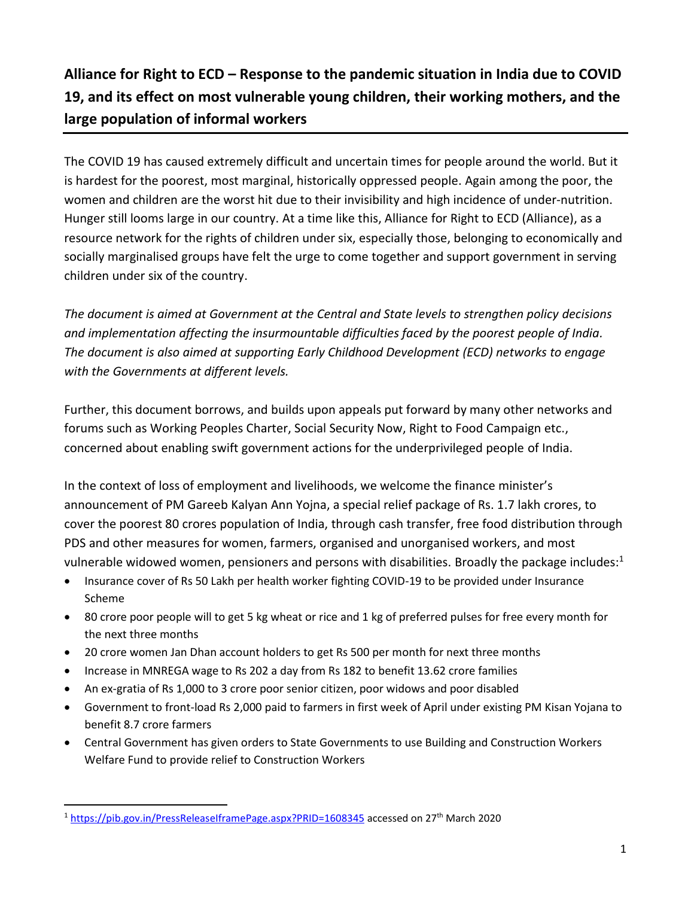## **Alliance for Right to ECD – Response to the pandemic situation in India due to COVID 19, and its effect on most vulnerable young children, their working mothers, and the large population of informal workers**

The COVID 19 has caused extremely difficult and uncertain times for people around the world. But it is hardest for the poorest, most marginal, historically oppressed people. Again among the poor, the women and children are the worst hit due to their invisibility and high incidence of under-nutrition. Hunger still looms large in our country. At a time like this, Alliance for Right to ECD (Alliance), as a resource network for the rights of children under six, especially those, belonging to economically and socially marginalised groups have felt the urge to come together and support government in serving children under six of the country.

*The document is aimed at Government at the Central and State levels to strengthen policy decisions and implementation affecting the insurmountable difficulties faced by the poorest people of India. The document is also aimed at supporting Early Childhood Development (ECD) networks to engage with the Governments at different levels.*

Further, this document borrows, and builds upon appeals put forward by many other networks and forums such as Working Peoples Charter, Social Security Now, Right to Food Campaign etc., concerned about enabling swift government actions for the underprivileged people of India.

In the context of loss of employment and livelihoods, we welcome the finance minister's announcement of PM Gareeb Kalyan Ann Yojna, a special relief package of Rs. 1.7 lakh crores, to cover the poorest 80 crores population of India, through cash transfer, free food distribution through PDS and other measures for women, farmers, organised and unorganised workers, and most vulnerable widowed women, pensioners and persons with disabilities. Broadly the package includes: $1$ 

- Insurance cover of Rs 50 Lakh per health worker fighting COVID-19 to be provided under Insurance Scheme
- 80 crore poor people will to get 5 kg wheat or rice and 1 kg of preferred pulses for free every month for the next three months
- 20 crore women Jan Dhan account holders to get Rs 500 per month for next three months
- Increase in MNREGA wage to Rs 202 a day from Rs 182 to benefit 13.62 crore families
- An ex-gratia of Rs 1,000 to 3 crore poor senior citizen, poor widows and poor disabled
- Government to front-load Rs 2,000 paid to farmers in first week of April under existing PM Kisan Yojana to benefit 8.7 crore farmers
- Central Government has given orders to State Governments to use Building and Construction Workers Welfare Fund to provide relief to Construction Workers

<sup>1</sup> <https://pib.gov.in/PressReleaseIframePage.aspx?PRID=1608345> accessed on 27th March 2020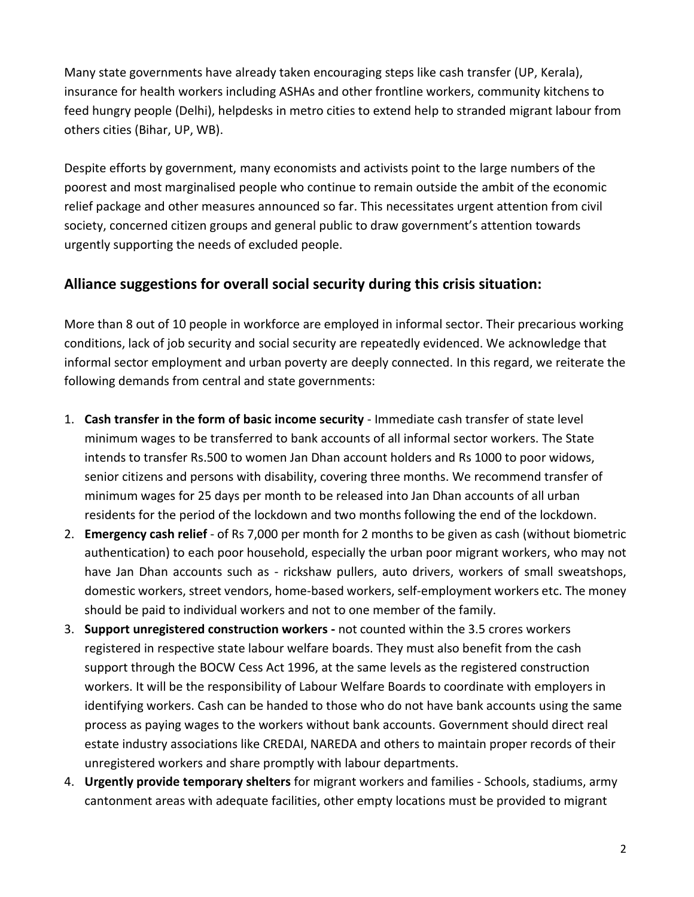Many state governments have already taken encouraging steps like cash transfer (UP, Kerala), insurance for health workers including ASHAs and other frontline workers, community kitchens to feed hungry people (Delhi), helpdesks in metro cities to extend help to stranded migrant labour from others cities (Bihar, UP, WB).

Despite efforts by government, many economists and activists point to the large numbers of the poorest and most marginalised people who continue to remain outside the ambit of the economic relief package and other measures announced so far. This necessitates urgent attention from civil society, concerned citizen groups and general public to draw government's attention towards urgently supporting the needs of excluded people.

## **Alliance suggestions for overall social security during this crisis situation:**

More than 8 out of 10 people in workforce are employed in informal sector. Their precarious working conditions, lack of job security and social security are repeatedly evidenced. We acknowledge that informal sector employment and urban poverty are deeply connected. In this regard, we reiterate the following demands from central and state governments:

- 1. **Cash transfer in the form of basic income security** Immediate cash transfer of state level minimum wages to be transferred to bank accounts of all informal sector workers. The State intends to transfer Rs.500 to women Jan Dhan account holders and Rs 1000 to poor widows, senior citizens and persons with disability, covering three months. We recommend transfer of minimum wages for 25 days per month to be released into Jan Dhan accounts of all urban residents for the period of the lockdown and two months following the end of the lockdown.
- 2. **Emergency cash relief** of Rs 7,000 per month for 2 months to be given as cash (without biometric authentication) to each poor household, especially the urban poor migrant workers, who may not have Jan Dhan accounts such as - rickshaw pullers, auto drivers, workers of small sweatshops, domestic workers, street vendors, home-based workers, self-employment workers etc. The money should be paid to individual workers and not to one member of the family.
- 3. **Support unregistered construction workers -** not counted within the 3.5 crores workers registered in respective state labour welfare boards. They must also benefit from the cash support through the BOCW Cess Act 1996, at the same levels as the registered construction workers. It will be the responsibility of Labour Welfare Boards to coordinate with employers in identifying workers. Cash can be handed to those who do not have bank accounts using the same process as paying wages to the workers without bank accounts. Government should direct real estate industry associations like CREDAI, NAREDA and others to maintain proper records of their unregistered workers and share promptly with labour departments.
- 4. **Urgently provide temporary shelters** for migrant workers and families Schools, stadiums, army cantonment areas with adequate facilities, other empty locations must be provided to migrant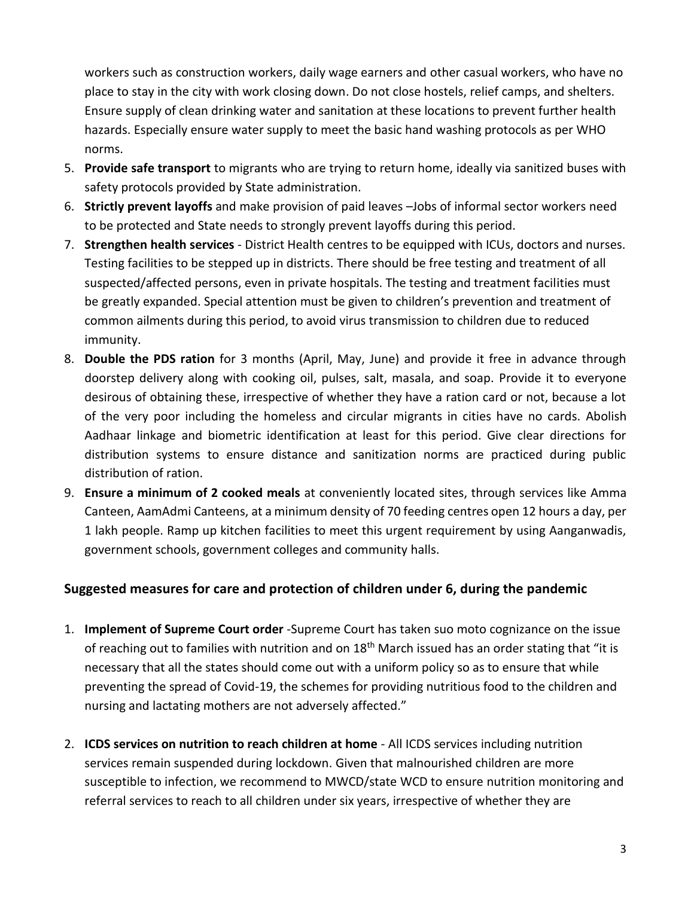workers such as construction workers, daily wage earners and other casual workers, who have no place to stay in the city with work closing down. Do not close hostels, relief camps, and shelters. Ensure supply of clean drinking water and sanitation at these locations to prevent further health hazards. Especially ensure water supply to meet the basic hand washing protocols as per WHO norms.

- 5. **Provide safe transport** to migrants who are trying to return home, ideally via sanitized buses with safety protocols provided by State administration.
- 6. **Strictly prevent layoffs** and make provision of paid leaves –Jobs of informal sector workers need to be protected and State needs to strongly prevent layoffs during this period.
- 7. **Strengthen health services**  District Health centres to be equipped with ICUs, doctors and nurses. Testing facilities to be stepped up in districts. There should be free testing and treatment of all suspected/affected persons, even in private hospitals. The testing and treatment facilities must be greatly expanded. Special attention must be given to children's prevention and treatment of common ailments during this period, to avoid virus transmission to children due to reduced immunity.
- 8. **Double the PDS ration** for 3 months (April, May, June) and provide it free in advance through doorstep delivery along with cooking oil, pulses, salt, masala, and soap. Provide it to everyone desirous of obtaining these, irrespective of whether they have a ration card or not, because a lot of the very poor including the homeless and circular migrants in cities have no cards. Abolish Aadhaar linkage and biometric identification at least for this period. Give clear directions for distribution systems to ensure distance and sanitization norms are practiced during public distribution of ration.
- 9. **Ensure a minimum of 2 cooked meals** at conveniently located sites, through services like Amma Canteen, AamAdmi Canteens, at a minimum density of 70 feeding centres open 12 hours a day, per 1 lakh people. Ramp up kitchen facilities to meet this urgent requirement by using Aanganwadis, government schools, government colleges and community halls.

## **Suggested measures for care and protection of children under 6, during the pandemic**

- 1. **Implement of Supreme Court order** -Supreme Court has taken suo moto cognizance on the issue of reaching out to families with nutrition and on 18<sup>th</sup> March issued has an order stating that "it is necessary that all the states should come out with a uniform policy so as to ensure that while preventing the spread of Covid-19, the schemes for providing nutritious food to the children and nursing and lactating mothers are not adversely affected."
- 2. **ICDS services on nutrition to reach children at home**  All ICDS services including nutrition services remain suspended during lockdown. Given that malnourished children are more susceptible to infection, we recommend to MWCD/state WCD to ensure nutrition monitoring and referral services to reach to all children under six years, irrespective of whether they are